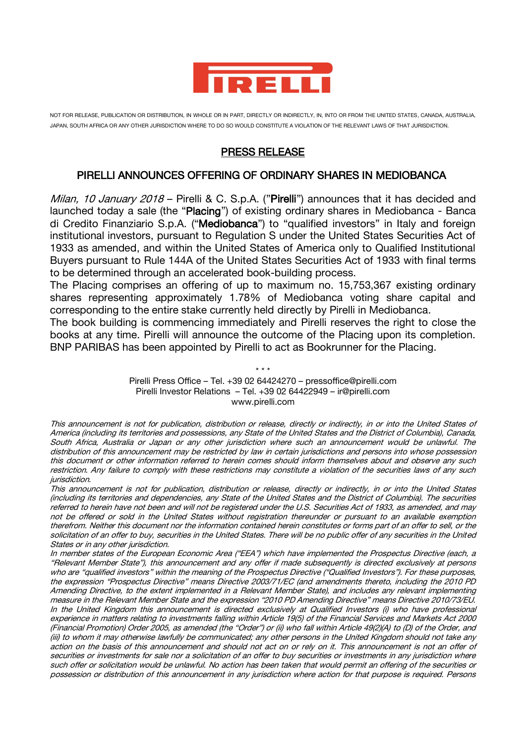

NOT FOR RELEASE, PUBLICATION OR DISTRIBUTION, IN WHOLE OR IN PART, DIRECTLY OR INDIRECTLY, IN, INTO OR FROM THE UNITED STATES, CANADA, AUSTRALIA JAPAN, SOUTH AFRICA OR ANY OTHER JURISDICTION WHERE TO DO SO WOULD CONSTITUTE A VIOLATION OF THE RELEVANT LAWS OF THAT JURISDICTION.

## PRESS RELEASE

## PIRELLI ANNOUNCES OFFERING OF ORDINARY SHARES IN MEDIOBANCA

Milan, 10 January 2018 - Pirelli & C. S.p.A. ("Pirelli") announces that it has decided and launched today a sale (the "Placing") of existing ordinary shares in Mediobanca - Banca di Credito Finanziario S.p.A. ("Mediobanca") to "qualified investors" in Italy and foreign institutional investors, pursuant to Regulation S under the United States Securities Act of 1933 as amended, and within the United States of America only to Qualified Institutional Buyers pursuant to Rule 144A of the United States Securities Act of 1933 with final terms to be determined through an accelerated book-building process.

The Placing comprises an offering of up to maximum no. 15,753,367 existing ordinary shares representing approximately 1.78% of Mediobanca voting share capital and corresponding to the entire stake currently held directly by Pirelli in Mediobanca.

The book building is commencing immediately and Pirelli reserves the right to close the books at any time. Pirelli will announce the outcome of the Placing upon its completion. BNP PARIBAS has been appointed by Pirelli to act as Bookrunner for the Placing.

> \* \* \* Pirelli Press Office – Tel. +39 02 64424270 – [pressoffice@pirelli.com](mailto:pressoffice@pirelli.com) Pirelli Investor Relations – Tel. +39 02 64422949 – [ir@pirelli.com](mailto:ir@pirelli.com) [www.pirelli.com](http://www.pirelli.com/)

This announcement is not for publication, distribution or release, directly or indirectly, in or into the United States of America (including its territories and possessions, any State of the United States and the District of Columbia), Canada, South Africa, Australia or Japan or any other jurisdiction where such an announcement would be unlawful. The distribution of this announcement may be restricted by law in certain jurisdictions and persons into whose possession this document or other information referred to herein comes should inform themselves about and observe any such restriction. Any failure to comply with these restrictions may constitute a violation of the securities laws of any such jurisdiction.

This announcement is not for publication, distribution or release, directly or indirectly, in or into the United States (including its territories and dependencies, any State of the United States and the District of Columbia). The securities referred to herein have not been and will not be registered under the U.S. Securities Act of 1933, as amended, and may not be offered or sold in the United States without registration thereunder or pursuant to an available exemption therefrom. Neither this document nor the information contained herein constitutes or forms part of an offer to sell, or the solicitation of an offer to buy, securities in the United States. There will be no public offer of any securities in the United States or in any other jurisdiction.

In member states of the European Economic Area ("EEA") which have implemented the Prospectus Directive (each, a "Relevant Member State"), this announcement and any offer if made subsequently is directed exclusively at persons who are "qualified investors" within the meaning of the Prospectus Directive ("Qualified Investors"). For these purposes, the expression "Prospectus Directive" means Directive 2003/71/EC (and amendments thereto, including the 2010 PD Amending Directive, to the extent implemented in a Relevant Member State), and includes any relevant implementing measure in the Relevant Member State and the expression "2010 PD Amending Directive" means Directive 2010/73/EU. In the United Kingdom this announcement is directed exclusively at Qualified Investors (i) who have professional experience in matters relating to investments falling within Article 19(5) of the Financial Services and Markets Act 2000 (Financial Promotion) Order 2005, as amended (the "Order") or (ii) who fall within Article 49(2)(A) to (D) of the Order, and (iii) to whom it may otherwise lawfully be communicated; any other persons in the United Kingdom should not take any action on the basis of this announcement and should not act on or rely on it. This announcement is not an offer of securities or investments for sale nor a solicitation of an offer to buy securities or investments in any jurisdiction where such offer or solicitation would be unlawful. No action has been taken that would permit an offering of the securities or possession or distribution of this announcement in any jurisdiction where action for that purpose is required. Persons